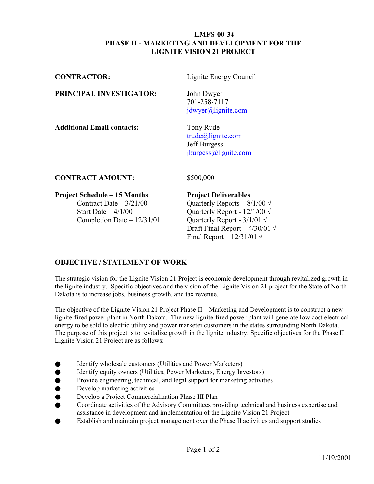#### **LMFS-00-34 PHASE II - MARKETING AND DEVELOPMENT FOR THE LIGNITE VISION 21 PROJECT**

| <b>CONTRACTOR:</b>                | Lignite Energy Council                                                          |
|-----------------------------------|---------------------------------------------------------------------------------|
| PRINCIPAL INVESTIGATOR:           | John Dwyer<br>701-258-7117<br>jdwyer@lignite.com                                |
| <b>Additional Email contacts:</b> | Tony Rude<br>$trude@$ lignite.com<br><b>Jeff Burgess</b><br>jburgess@lighte.com |

## **CONTRACT AMOUNT:** \$500,000

# **Project Schedule – 15 Months Project Deliverables**

Start Date –  $4/1/00$  Quarterly Report -  $12/1/00 \sqrt{ }$ Completion Date –  $12/31/01$  Quarterly Report -  $3/1/01 \sqrt{ }$ 

Contract Date –  $3/21/00$  Quarterly Reports –  $8/1/00 \sqrt{ }$ Draft Final Report –  $4/30/01 \sqrt{ }$ Final Report –  $12/31/01 \sqrt{ }$ 

# **OBJECTIVE / STATEMENT OF WORK**

The strategic vision for the Lignite Vision 21 Project is economic development through revitalized growth in the lignite industry. Specific objectives and the vision of the Lignite Vision 21 project for the State of North Dakota is to increase jobs, business growth, and tax revenue.

The objective of the Lignite Vision 21 Project Phase II – Marketing and Development is to construct a new lignite-fired power plant in North Dakota. The new lignite-fired power plant will generate low cost electrical energy to be sold to electric utility and power marketer customers in the states surrounding North Dakota. The purpose of this project is to revitalize growth in the lignite industry. Specific objectives for the Phase II Lignite Vision 21 Project are as follows:

- **Identify wholesale customers (Utilities and Power Marketers)**
- Identify equity owners (Utilities, Power Marketers, Energy Investors)
- Provide engineering, technical, and legal support for marketing activities
- Develop marketing activities
- Develop a Project Commercialization Phase III Plan
- Coordinate activities of the Advisory Committees providing technical and business expertise and assistance in development and implementation of the Lignite Vision 21 Project
- Establish and maintain project management over the Phase II activities and support studies